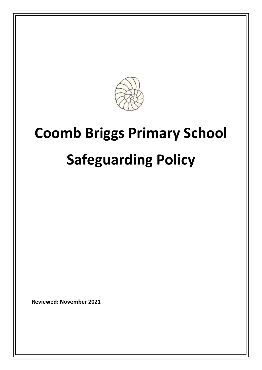

# **Coomb Briggs Primary School Safeguarding Policy**

**Reviewed: November 2021**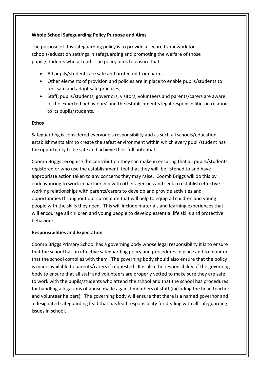## **Whole School Safeguarding Policy Purpose and Aims**

The purpose of this safeguarding policy is to provide a secure framework for schools/education settings in safeguarding and promoting the welfare of those pupils/students who attend. The policy aims to ensure that:

- All pupils/students are safe and protected from harm.
- Other elements of provision and policies are in place to enable pupils/students to feel safe and adopt safe practices;
- Staff, pupils/students, governors, visitors, volunteers and parents/carers are aware of the expected behaviours' and the establishment's legal responsibilities in relation to its pupils/students.

## **Ethos**

Safeguarding is considered everyone's responsibility and as such all schools/education establishments aim to create the safest environment within which every pupil/student has the opportunity to be safe and achieve their full potential.

Coomb Briggs recognise the contribution they can make in ensuring that all pupils/students registered or who use the establishment, feel that they will be listened to and have appropriate action taken to any concerns they may raise. Coomb Briggs will do this by endeavouring to work in partnership with other agencies and seek to establish effective working relationships with parents/carers to develop and provide activities and opportunities throughout our curriculum that will help to equip all children and young people with the skills they need. This will include materials and learning experiences that will encourage all children and young people to develop essential life skills and protective behaviours.

## **Responsibilities and Expectation**

Coomb Briggs Primary School has a governing body whose legal responsibility it is to ensure that the school has an effective safeguarding policy and procedures in place and to monitor that the school complies with them. The governing body should also ensure that the policy is made available to parents/carers if requested. It is also the responsibility of the governing body to ensure that all staff and volunteers are properly vetted to make sure they are safe to work with the pupils/students who attend the school and that the school has procedures for handling allegations of abuse made against members of staff (including the head teacher and volunteer helpers). The governing body will ensure that there is a named governor and a designated safeguarding lead that has lead responsibility for dealing with all safeguarding issues in school.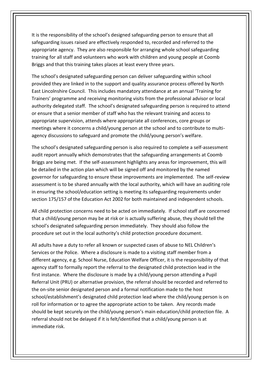It is the responsibility of the school's designed safeguarding person to ensure that all safeguarding issues raised are effectively responded to, recorded and referred to the appropriate agency. They are also responsible for arranging whole school safeguarding training for all staff and volunteers who work with children and young people at Coomb Briggs and that this training takes places at least every three years.

The school's designated safeguarding person can deliver safeguarding within school provided they are linked in to the support and quality assurance process offered by North East Lincolnshire Council. This includes mandatory attendance at an annual 'Training for Trainers' programme and receiving monitoring visits from the professional advisor or local authority delegated staff. The school's designated safeguarding person is required to attend or ensure that a senior member of staff who has the relevant training and access to appropriate supervision, attends where appropriate all conferences, core groups or meetings where it concerns a child/young person at the school and to contribute to multiagency discussions to safeguard and promote the child/young person's welfare.

The school's designated safeguarding person is also required to complete a self-assessment audit report annually which demonstrates that the safeguarding arrangements at Coomb Briggs are being met. If the self-assessment highlights any areas for improvement, this will be detailed in the action plan which will be signed off and monitored by the named governor for safeguarding to ensure these improvements are implemented. The self-review assessment is to be shared annually with the local authority, which will have an auditing role in ensuring the school/education setting is meeting its safeguarding requirements under section 175/157 of the Education Act 2002 for both maintained and independent schools.

All child protection concerns need to be acted on immediately. If school staff are concerned that a child/young person may be at risk or is actually suffering abuse, they should tell the school's designated safeguarding person immediately. They should also follow the procedure set out in the local authority's child protection procedure document.

All adults have a duty to refer all known or suspected cases of abuse to NEL Children's Services or the Police. Where a disclosure is made to a visiting staff member from a different agency, e.g. School Nurse, Education Welfare Officer, it is the responsibility of that agency staff to formally report the referral to the designated child protection lead in the first instance. Where the disclosure is made by a child/young person attending a Pupil Referral Unit (PRU) or alternative provision, the referral should be recorded and referred to the on-site senior designated person and a formal notification made to the host school/establishment's designated child protection lead where the child/young person is on roll for information or to agree the appropriate action to be taken. Any records made should be kept securely on the child/young person's main education/child protection file. A referral should not be delayed if it is felt/identified that a child/young person is at immediate risk.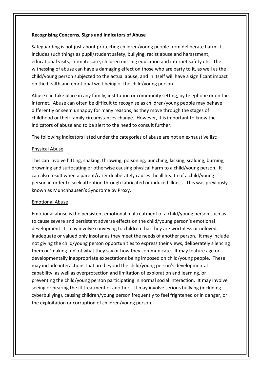#### **Recognising Concerns, Signs and Indicators of Abuse**

Safeguarding is not just about protecting children/young people from deliberate harm. It includes such things as pupil/student safety, bullying, racist abuse and harassment, educational visits, intimate care, children missing education and internet safety etc. The witnessing of abuse can have a damaging effect on those who are party to it, as well as the child/young person subjected to the actual abuse, and in itself will have a significant impact on the health and emotional well-being of the child/young person.

Abuse can take place in any family, institution or community setting, by telephone or on the internet. Abuse can often be difficult to recognise as children/young people may behave differently or seem unhappy for many reasons, as they move through the stages of childhood or their family circumstances change. However, it is important to know the indicators of abuse and to be alert to the need to consult further.

The following indicators listed under the categories of abuse are not an exhaustive list:

## Physical Abuse

This can involve hitting, shaking, throwing, poisoning, punching, kicking, scalding, burning, drowning and suffocating or otherwise causing physical harm to a child/young person. It can also result when a parent/carer deliberately causes the ill health of a child/young person in order to seek attention through fabricated or induced illness. This was previously known as Munchhausen's Syndrome by Proxy.

## Emotional Abuse

Emotional abuse is the persistent emotional maltreatment of a child/young person such as to cause severe and persistent adverse effects on the child/young person's emotional development. It may involve conveying to children that they are worthless or unloved, inadequate or valued only insofar as they meet the needs of another person. It may include not giving the child/young person opportunities to express their views, deliberately silencing them or 'making fun' of what they say or how they communicate. It may feature age or developmentally inappropriate expectations being imposed on child/young people. These may include interactions that are beyond the child/young person's developmental capability, as well as overprotection and limitation of exploration and learning, or preventing the child/young person participating in normal social interaction. It may involve seeing or hearing the ill-treatment of another. It may involve serious bullying (including cyberbullying), causing children/young person frequently to feel frightened or in danger, or the exploitation or corruption of children/young person.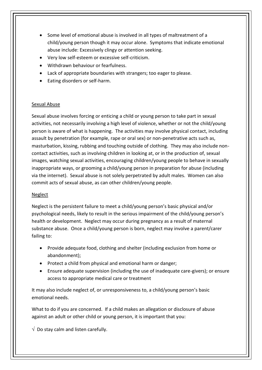- Some level of emotional abuse is involved in all types of maltreatment of a child/young person though it may occur alone. Symptoms that indicate emotional abuse include: Excessively clingy or attention seeking.
- Very low self-esteem or excessive self-criticism.
- Withdrawn behaviour or fearfulness.
- Lack of appropriate boundaries with strangers; too eager to please.
- Eating disorders or self-harm.

#### Sexual Abuse

Sexual abuse involves forcing or enticing a child or young person to take part in sexual activities, not necessarily involving a high level of violence, whether or not the child/young person is aware of what is happening. The activities may involve physical contact, including assault by penetration (for example, rape or oral sex) or non-penetrative acts such as, masturbation, kissing, rubbing and touching outside of clothing. They may also include noncontact activities, such as involving children in looking at, or in the production of, sexual images, watching sexual activities, encouraging children/young people to behave in sexually inappropriate ways, or grooming a child/young person in preparation for abuse (including via the internet). Sexual abuse is not solely perpetrated by adult males. Women can also commit acts of sexual abuse, as can other children/young people.

#### Neglect

Neglect is the persistent failure to meet a child/young person's basic physical and/or psychological needs, likely to result in the serious impairment of the child/young person's health or development. Neglect may occur during pregnancy as a result of maternal substance abuse. Once a child/young person is born, neglect may involve a parent/carer failing to:

- Provide adequate food, clothing and shelter (including exclusion from home or abandonment);
- Protect a child from physical and emotional harm or danger;
- Ensure adequate supervision (including the use of inadequate care-givers); or ensure access to appropriate medical care or treatment

It may also include neglect of, or unresponsiveness to, a child/young person's basic emotional needs.

What to do if you are concerned. If a child makes an allegation or disclosure of abuse against an adult or other child or young person, it is important that you:

 $\sqrt{ }$  Do stay calm and listen carefully.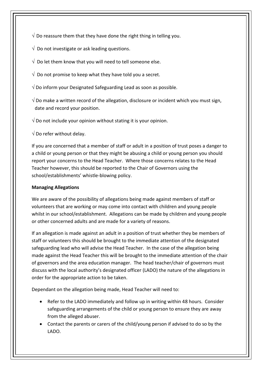- $\sqrt{2}$  Do reassure them that they have done the right thing in telling you.
- $\sqrt{ }$  Do not investigate or ask leading questions.
- $\sqrt{2}$  Do let them know that you will need to tell someone else.
- $\sqrt{2}$  Do not promise to keep what they have told you a secret.
- $\sqrt{2}$  Do inform your Designated Safeguarding Lead as soon as possible.
- $\sqrt{2}$  Do make a written record of the allegation, disclosure or incident which you must sign, date and record your position.
- $\sqrt{2}$  Do not include your opinion without stating it is your opinion.
- $\sqrt{}$  Do refer without delay.

If you are concerned that a member of staff or adult in a position of trust poses a danger to a child or young person or that they might be abusing a child or young person you should report your concerns to the Head Teacher. Where those concerns relates to the Head Teacher however, this should be reported to the Chair of Governors using the school/establishments' whistle-blowing policy.

## **Managing Allegations**

We are aware of the possibility of allegations being made against members of staff or volunteers that are working or may come into contact with children and young people whilst in our school/establishment. Allegations can be made by children and young people or other concerned adults and are made for a variety of reasons.

If an allegation is made against an adult in a position of trust whether they be members of staff or volunteers this should be brought to the immediate attention of the designated safeguarding lead who will advise the Head Teacher. In the case of the allegation being made against the Head Teacher this will be brought to the immediate attention of the chair of governors and the area education manager. The head teacher/chair of governors must discuss with the local authority's designated officer (LADO) the nature of the allegations in order for the appropriate action to be taken.

Dependant on the allegation being made, Head Teacher will need to:

- Refer to the LADO immediately and follow up in writing within 48 hours. Consider safeguarding arrangements of the child or young person to ensure they are away from the alleged abuser.
- Contact the parents or carers of the child/young person if advised to do so by the LADO.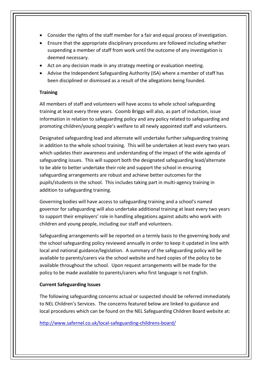- Consider the rights of the staff member for a fair and equal process of investigation.
- Ensure that the appropriate disciplinary procedures are followed including whether suspending a member of staff from work until the outcome of any investigation is deemed necessary.
- Act on any decision made in any strategy meeting or evaluation meeting.
- Advise the Independent Safeguarding Authority (ISA) where a member of staff has been disciplined or dismissed as a result of the allegations being founded.

## **Training**

All members of staff and volunteers will have access to whole school safeguarding training at least every three years. Coomb Briggs will also, as part of induction, issue information in relation to safeguarding policy and any policy related to safeguarding and promoting children/young people's welfare to all newly appointed staff and volunteers.

Designated safeguarding lead and alternate will undertake further safeguarding training in addition to the whole school training. This will be undertaken at least every two years which updates their awareness and understanding of the impact of the wide agenda of safeguarding issues. This will support both the designated safeguarding lead/alternate to be able to better undertake their role and support the school in ensuring safeguarding arrangements are robust and achieve better outcomes for the pupils/students in the school. This includes taking part in multi-agency training in addition to safeguarding training.

Governing bodies will have access to safeguarding training and a school's named governor for safeguarding will also undertake additional training at least every two years to support their employers' role in handling allegations against adults who work with children and young people, including our staff and volunteers.

Safeguarding arrangements will be reported on a termly basis to the governing body and the school safeguarding policy reviewed annually in order to keep it updated in line with local and national guidance/legislation. A summary of the safeguarding policy will be available to parents/carers via the school website and hard copies of the policy to be available throughout the school. Upon request arrangements will be made for the policy to be made available to parents/carers who first language is not English.

## **Current Safeguarding Issues**

The following safeguarding concerns actual or suspected should be referred immediately to NEL Children's Services. The concerns featured below are linked to guidance and local procedures which can be found on the NEL Safeguarding Children Board website at:

<http://www.safernel.co.uk/local-safeguarding-childrens-board/>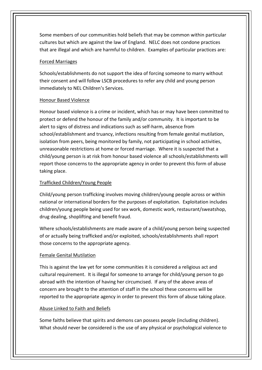Some members of our communities hold beliefs that may be common within particular cultures but which are against the law of England. NELC does not condone practices that are illegal and which are harmful to children. Examples of particular practices are:

## Forced Marriages

Schools/establishments do not support the idea of forcing someone to marry without their consent and will follow LSCB procedures to refer any child and young person immediately to NEL Children's Services.

#### Honour Based Violence

Honour based violence is a crime or incident, which has or may have been committed to protect or defend the honour of the family and/or community. It is important to be alert to signs of distress and indications such as self-harm, absence from school/establishment and truancy, infections resulting from female genital mutilation, isolation from peers, being monitored by family, not participating in school activities, unreasonable restrictions at home or forced marriage. Where it is suspected that a child/young person is at risk from honour based violence all schools/establishments will report those concerns to the appropriate agency in order to prevent this form of abuse taking place.

## Trafficked Children/Young People

Child/young person trafficking involves moving children/young people across or within national or international borders for the purposes of exploitation. Exploitation includes children/young people being used for sex work, domestic work, restaurant/sweatshop, drug dealing, shoplifting and benefit fraud.

Where schools/establishments are made aware of a child/young person being suspected of or actually being trafficked and/or exploited, schools/establishments shall report those concerns to the appropriate agency.

## Female Genital Mutilation

This is against the law yet for some communities it is considered a religious act and cultural requirement. It is illegal for someone to arrange for child/young person to go abroad with the intention of having her circumcised. If any of the above areas of concern are brought to the attention of staff in the school these concerns will be reported to the appropriate agency in order to prevent this form of abuse taking place.

## Abuse Linked to Faith and Beliefs

Some faiths believe that spirits and demons can possess people (including children). What should never be considered is the use of any physical or psychological violence to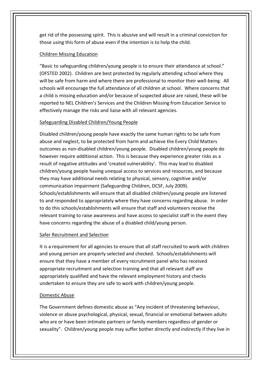get rid of the possessing spirit. This is abusive and will result in a criminal conviction for those using this form of abuse even if the intention is to help the child.

## Children Missing Education

"Basic to safeguarding children/young people is to ensure their attendance at school." (OFSTED 2002). Children are best protected by regularly attending school where they will be safe from harm and where there are professional to monitor their well-being. All schools will encourage the full attendance of all children at school. Where concerns that a child is missing education and/or because of suspected abuse are raised, these will be reported to NEL Children's Services and the Children Missing from Education Service to effectively manage the risks and liaise with all relevant agencies.

# Safeguarding Disabled Children/Young People

Disabled children/young people have exactly the same human rights to be safe from abuse and neglect, to be protected from harm and achieve the Every Child Matters outcomes as non-disabled children/young people. Disabled children/young people do however require additional action. This is because they experience greater risks as a result of negative attitudes and 'created vulnerability'. This may lead to disabled children/young people having unequal access to services and resources, and because they may have additional needs relating to physical, sensory, cognitive and/or communication impairment (Safeguarding Children, DCSF, July 2009). Schools/establishments will ensure that all disabled children/young people are listened to and responded to appropriately where they have concerns regarding abuse. In order to do this schools/establishments will ensure that staff and volunteers receive the relevant training to raise awareness and have access to specialist staff in the event they have concerns regarding the abuse of a disabled child/young person.

# Safer Recruitment and Selection

It is a requirement for all agencies to ensure that all staff recruited to work with children and young person are properly selected and checked. Schools/establishments will ensure that they have a member of every recruitment panel who has received appropriate recruitment and selection training and that all relevant staff are appropriately qualified and have the relevant employment history and checks undertaken to ensure they are safe to work with children/young people.

# Domestic Abuse

The Government defines domestic abuse as "Any incident of threatening behaviour, violence or abuse psychological, physical, sexual, financial or emotional between adults who are or have been intimate partners or family members regardless of gender or sexuality". Children/young people may suffer bother directly and indirectly if they live in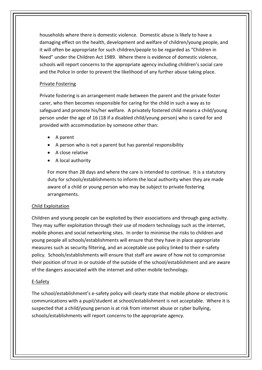households where there is domestic violence. Domestic abuse is likely to have a damaging effect on the health, development and welfare of children/young people, and it will often be appropriate for such children/people to be regarded as "Children in Need" under the Children Act 1989. Where there is evidence of domestic violence, schools will report concerns to the appropriate agency including children's social care and the Police in order to prevent the likelihood of any further abuse taking place.

## Private Fostering

Private fostering is an arrangement made between the parent and the private foster carer, who then becomes responsible for caring for the child in such a way as to safeguard and promote his/her welfare. A privately fostered child means a child/young person under the age of 16 (18 if a disabled child/young person) who is cared for and provided with accommodation by someone other than:

- A parent
- A person who is not a parent but has parental responsibility
- A close relative
- A local authority

For more than 28 days and where the care is intended to continue. It is a statutory duty for schools/establishments to inform the local authority when they are made aware of a child or young person who may be subject to private fostering arrangements.

## Child Exploitation

Children and young people can be exploited by their associations and through gang activity. They may suffer exploitation through their use of modern technology such as the internet, mobile phones and social networking sites. In order to minimise the risks to children and young people all schools/establishments will ensure that they have in place appropriate measures such as security filtering, and an acceptable use policy linked to their e-safety policy. Schools/establishments will ensure that staff are aware of how not to compromise their position of trust in or outside of the outside of the school/establishment and are aware of the dangers associated with the internet and other mobile technology.

# E-Safety

The school/establishment's e-safety policy will clearly state that mobile phone or electronic communications with a pupil/student at school/establishment is not acceptable. Where it is suspected that a child/young person is at risk from internet abuse or cyber bullying, schools/establishments will report concerns to the appropriate agency.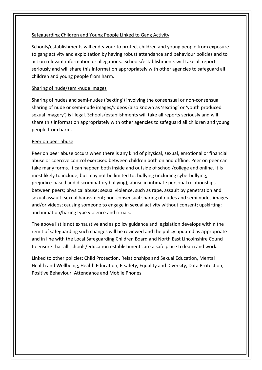## Safeguarding Children and Young People Linked to Gang Activity

Schools/establishments will endeavour to protect children and young people from exposure to gang activity and exploitation by having robust attendance and behaviour policies and to act on relevant information or allegations. Schools/establishments will take all reports seriously and will share this information appropriately with other agencies to safeguard all children and young people from harm.

## Sharing of nude/semi-nude images

Sharing of nudes and semi-nudes ('sexting') involving the consensual or non-consensual sharing of nude or semi-nude images/videos (also known as 'sexting' or 'youth produced sexual imagery') is illegal. Schools/establishments will take all reports seriously and will share this information appropriately with other agencies to safeguard all children and young people from harm.

## Peer on peer abuse

Peer on peer abuse occurs when there is any kind of physical, sexual, emotional or financial abuse or coercive control exercised between children both on and offline. Peer on peer can take many forms. It can happen both inside and outside of school/college and online. It is most likely to include, but may not be limited to: bullying (including cyberbullying, prejudice-based and discriminatory bullying); abuse in intimate personal relationships between peers; physical abuse; sexual violence, such as rape, assault by penetration and sexual assault; sexual harassment; non-consensual sharing of nudes and semi nudes images and/or videos; causing someone to engage in sexual activity without consent; upskirting; and initiation/hazing type violence and rituals.

The above list is not exhaustive and as policy guidance and legislation develops within the remit of safeguarding such changes will be reviewed and the policy updated as appropriate and in line with the Local Safeguarding Children Board and North East Lincolnshire Council to ensure that all schools/education establishments are a safe place to learn and work.

Linked to other policies: Child Protection, Relationships and Sexual Education, Mental Health and Wellbeing, Health Education, E-safety, Equality and Diversity, Data Protection, Positive Behaviour, Attendance and Mobile Phones.